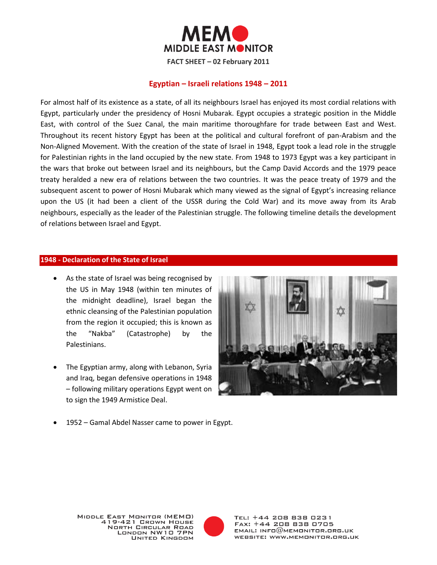

# **Egyptian – Israeli relations 1948 – 2011**

For almost half of its existence as a state, of all its neighbours Israel has enjoyed its most cordial relations with Egypt, particularly under the presidency of Hosni Mubarak. Egypt occupies a strategic position in the Middle East, with control of the Suez Canal, the main maritime thoroughfare for trade between East and West. Throughout its recent history Egypt has been at the political and cultural forefront of pan-Arabism and the Non-Aligned Movement. With the creation of the state of Israel in 1948, Egypt took a lead role in the struggle for Palestinian rights in the land occupied by the new state. From 1948 to 1973 Egypt was a key participant in the wars that broke out between Israel and its neighbours, but the Camp David Accords and the 1979 peace treaty heralded a new era of relations between the two countries. It was the peace treaty of 1979 and the subsequent ascent to power of Hosni Mubarak which many viewed as the signal of Egypt's increasing reliance upon the US (it had been a client of the USSR during the Cold War) and its move away from its Arab neighbours, especially as the leader of the Palestinian struggle. The following timeline details the development of relations between Israel and Egypt.

#### **1948 - Declaration of the State of Israel**

- As the state of Israel was being recognised by the US in May 1948 (within ten minutes of the midnight deadline), Israel began the ethnic cleansing of the Palestinian population from the region it occupied; this is known as the "Nakba" (Catastrophe) by the Palestinians.
- The Egyptian army, along with Lebanon, Syria and Iraq, began defensive operations in 1948 – following military operations Egypt went on to sign the 1949 Armistice Deal.



1952 – Gamal Abdel Nasser came to power in Egypt.

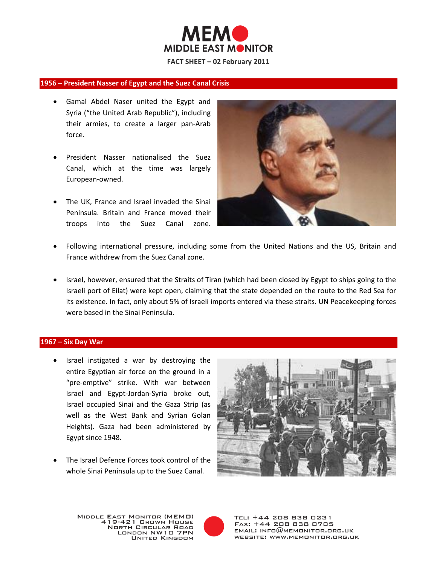

#### **1956 – President Nasser of Egypt and the Suez Canal Crisis**

- Gamal Abdel Naser united the Egypt and Syria ("the United Arab Republic"), including their armies, to create a larger pan-Arab force.
- President Nasser nationalised the Suez Canal, which at the time was largely European-owned.
- The UK, France and Israel invaded the Sinai Peninsula. Britain and France moved their troops into the Suez Canal zone.



- Following international pressure, including some from the United Nations and the US, Britain and France withdrew from the Suez Canal zone.
- Israel, however, ensured that the Straits of Tiran (which had been closed by Egypt to ships going to the Israeli port of Eilat) were kept open, claiming that the state depended on the route to the Red Sea for its existence. In fact, only about 5% of Israeli imports entered via these straits. UN Peacekeeping forces were based in the Sinai Peninsula.

#### **1967 – Six Day War**

- Israel instigated a war by destroying the entire Egyptian air force on the ground in a "pre-emptive" strike. With war between Israel and Egypt-Jordan-Syria broke out, Israel occupied Sinai and the Gaza Strip (as well as the West Bank and Syrian Golan Heights). Gaza had been administered by Egypt since 1948.
- The Israel Defence Forces took control of the whole Sinai Peninsula up to the Suez Canal.



MIDDLE EAST MONITOR (MEMO) 419-421 GROWN HOUSE **NORTH CIRCULAR ROAD** LONDON NW10 7PN **UNITED KINGDOM** 

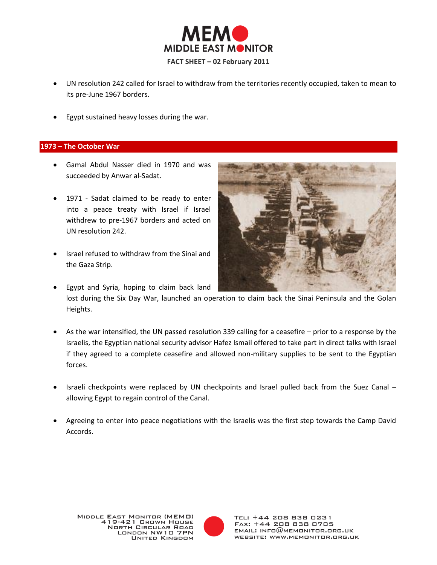

- UN resolution 242 called for Israel to withdraw from the territories recently occupied, taken to mean to its pre-June 1967 borders.
- Egypt sustained heavy losses during the war.

# **1973 – The October War**

- Gamal Abdul Nasser died in 1970 and was succeeded by Anwar al-Sadat.
- 1971 Sadat claimed to be ready to enter into a peace treaty with Israel if Israel withdrew to pre-1967 borders and acted on UN resolution 242.
- Israel refused to withdraw from the Sinai and the Gaza Strip.
- 
- Egypt and Syria, hoping to claim back land lost during the Six Day War, launched an operation to claim back the Sinai Peninsula and the Golan Heights.
- As the war intensified, the UN passed resolution 339 calling for a ceasefire prior to a response by the Israelis, the Egyptian national security advisor Hafez Ismail offered to take part in direct talks with Israel if they agreed to a complete ceasefire and allowed non-military supplies to be sent to the Egyptian forces.
- Israeli checkpoints were replaced by UN checkpoints and Israel pulled back from the Suez Canal allowing Egypt to regain control of the Canal.
- Agreeing to enter into peace negotiations with the Israelis was the first step towards the Camp David Accords.

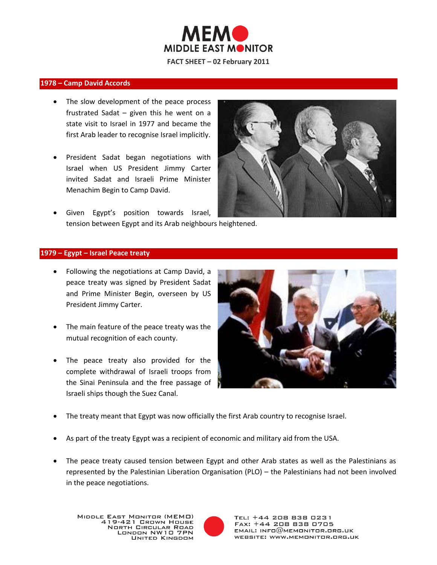

### **1978 – Camp David Accords**

- The slow development of the peace process frustrated Sadat – given this he went on a state visit to Israel in 1977 and became the first Arab leader to recognise Israel implicitly.
- President Sadat began negotiations with Israel when US President Jimmy Carter invited Sadat and Israeli Prime Minister Menachim Begin to Camp David.
- 
- Given Egypt's position towards Israel, tension between Egypt and its Arab neighbours heightened.

#### **1979 – Egypt – Israel Peace treaty**

- Following the negotiations at Camp David, a peace treaty was signed by President Sadat and Prime Minister Begin, overseen by US President Jimmy Carter.
- The main feature of the peace treaty was the mutual recognition of each county.
- The peace treaty also provided for the complete withdrawal of Israeli troops from the Sinai Peninsula and the free passage of Israeli ships though the Suez Canal.



- The treaty meant that Egypt was now officially the first Arab country to recognise Israel.
- As part of the treaty Egypt was a recipient of economic and military aid from the USA.
- The peace treaty caused tension between Egypt and other Arab states as well as the Palestinians as represented by the Palestinian Liberation Organisation (PLO) – the Palestinians had not been involved in the peace negotiations.

MIDDLE EAST MONITOR (MEMO) 419-421 GROWN HOUSE **NORTH CIRCULAR ROAD** LONDON NW10 7PN **UNITED KINGDOM** 

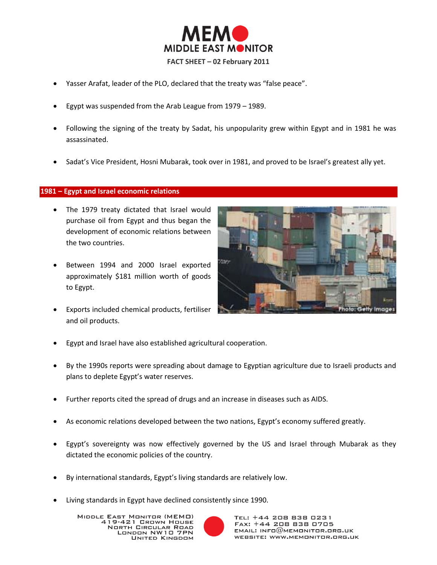

- Yasser Arafat, leader of the PLO, declared that the treaty was "false peace".
- Egypt was suspended from the Arab League from 1979 1989.
- Following the signing of the treaty by Sadat, his unpopularity grew within Egypt and in 1981 he was assassinated.
- Sadat's Vice President, Hosni Mubarak, took over in 1981, and proved to be Israel's greatest ally yet.

# **1981 – Egypt and Israel economic relations**

- The 1979 treaty dictated that Israel would purchase oil from Egypt and thus began the development of economic relations between the two countries.
- Between 1994 and 2000 Israel exported approximately \$181 million worth of goods to Egypt.
- Exports included chemical products, fertiliser and oil products.



- Egypt and Israel have also established agricultural cooperation.
- By the 1990s reports were spreading about damage to Egyptian agriculture due to Israeli products and plans to deplete Egypt's water reserves.
- Further reports cited the spread of drugs and an increase in diseases such as AIDS.
- As economic relations developed between the two nations, Egypt's economy suffered greatly.
- Egypt's sovereignty was now effectively governed by the US and Israel through Mubarak as they dictated the economic policies of the country.
- By international standards, Egypt's living standards are relatively low.
- Living standards in Egypt have declined consistently since 1990.

MIDDLE EAST MONITOR (MEMO) - EAST MONTON (MEMO)<br>419–421 Crown House **NORTH CIRCULAR ROAD** LONDON NW10 7PN **UNITED KINGDOM** 

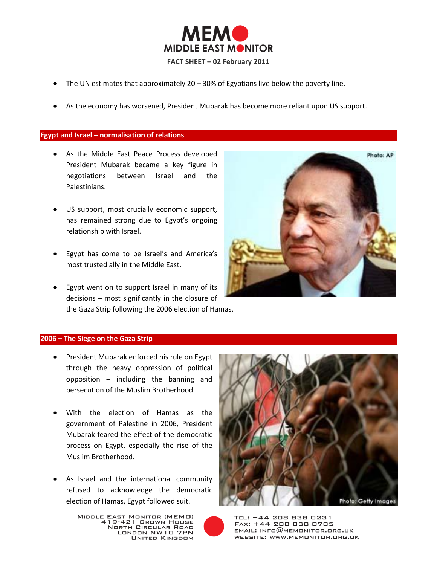

- The UN estimates that approximately  $20 30\%$  of Egyptians live below the poverty line.
- As the economy has worsened, President Mubarak has become more reliant upon US support.

### **Egypt and Israel – normalisation of relations**

- As the Middle East Peace Process developed President Mubarak became a key figure in negotiations between Israel and the Palestinians.
- US support, most crucially economic support, has remained strong due to Egypt's ongoing relationship with Israel.
- Egypt has come to be Israel's and America's most trusted ally in the Middle East.
- Egypt went on to support Israel in many of its decisions – most significantly in the closure of the Gaza Strip following the 2006 election of Hamas.



# **2006 – The Siege on the Gaza Strip**

- **•** President Mubarak enforced his rule on Egypt through the heavy oppression of political opposition – including the banning and persecution of the Muslim Brotherhood.
- With the election of Hamas as the government of Palestine in 2006, President Mubarak feared the effect of the democratic process on Egypt, especially the rise of the Muslim Brotherhood.
- As Israel and the international community refused to acknowledge the democratic election of Hamas, Egypt followed suit.



MIDDLE EAST MONITOR (MEMO)<br>419-421 CROWN HOUSE **NORTH CIRCULAR ROAD** LONDON NW10 7PN **UNITED KINGDOM**